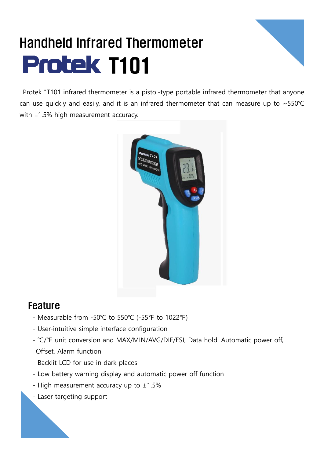## Handheld Infrared Thermometer **Protek T101**



Protek "T101 infrared thermometer is a pistol-type portable infrared thermometer that anyone can use quickly and easily, and it is an infrared thermometer that can measure up to ~550℃ with  $\pm 1.5\%$  high measurement accuracy.



## Feature

- Measurable from -50℃ to 550℃ (-55℉ to 1022℉)
- User-intuitive simple interface configuration
- ℃/℉ unit conversion and MAX/MIN/AVG/DIF/ESI, Data hold. Automatic power off, Offset, Alarm function
- Backlit LCD for use in dark places
- Low battery warning display and automatic power off function
- High measurement accuracy up to  $\pm 1.5\%$
- Laser targeting support